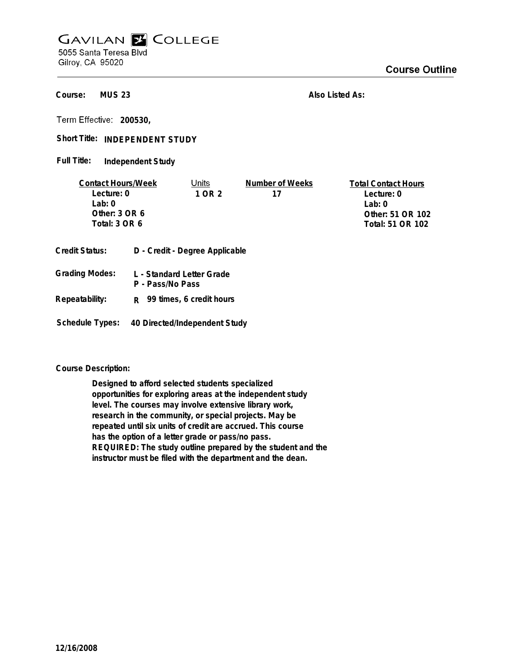## **GAVILAN E COLLEGE** 5055 Santa Teresa Blvd

Gilroy, CA 95020

**MUS 23 Course:**

**Also Listed As:**

**200530,**

Short Title: INDEPENDENT STUDY

**Independent Study Full Title:**

| <b>Contact Hours/Week</b> |                  | Units                          | Number of Weeks  | <b>Total Contact Hours</b> |
|---------------------------|------------------|--------------------------------|------------------|----------------------------|
| Lecture: 0                |                  | 1 OR 2                         | 17               | Lecture: 0                 |
| l ab: 0                   |                  |                                |                  | Lab: 0                     |
| Other: $3$ OR $6$         |                  |                                |                  | Other: 51 OR 102           |
| Total: 3 OR 6             |                  |                                | Total: 51 OR 102 |                            |
|                           |                  |                                |                  |                            |
| Credit Status:            |                  | D - Credit - Degree Applicable |                  |                            |
| <b>Grading Modes:</b>     | P - Pass/No Pass | L - Standard Letter Grade      |                  |                            |

**Repeatability: R 99 times, 6 credit hours**

**Schedule Types: 40 Directed/Independent Study**

**Course Description:**

**Designed to afford selected students specialized opportunities for exploring areas at the independent study level. The courses may involve extensive library work, research in the community, or special projects. May be repeated until six units of credit are accrued. This course has the option of a letter grade or pass/no pass. REQUIRED: The study outline prepared by the student and the instructor must be filed with the department and the dean.**